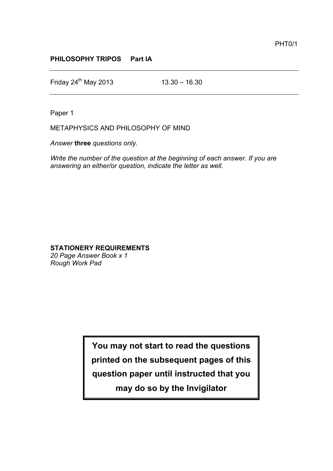## **PHILOSOPHY TRIPOS Part IA**

Friday  $24^{th}$  May 2013 13.30 – 16.30

Paper 1

METAPHYSICS AND PHILOSOPHY OF MIND

*Answer* **three** *questions only.*

*Write the number of the question at the beginning of each answer. If you are answering an either/or question, indicate the letter as well.*

## **STATIONERY REQUIREMENTS**

*20 Page Answer Book x 1 Rough Work Pad*

> **You may not start to read the questions printed on the subsequent pages of this question paper until instructed that you may do so by the Invigilator**